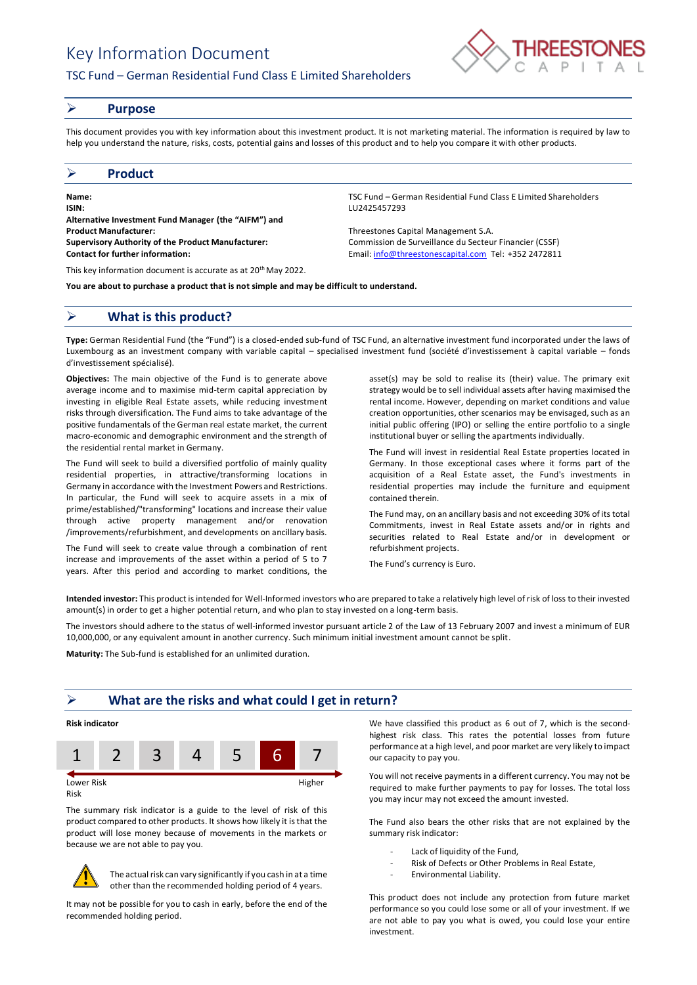# Key Information Document

# TSC Fund – German Residential Fund Class E Limited Shareholders



### ➢ **Purpose**

This document provides you with key information about this investment product. It is not marketing material. The information is required by law to help you understand the nature, risks, costs, potential gains and losses of this product and to help you compare it with other products.

## ➢ **Product**

**Name:** TSC Fund – German Residential Fund Class E Limited Shareholders **ISIN:** LU2425457293 **Alternative Investment Fund Manager (the "AIFM") and Product Manufacturer:** Threestones Capital Management S.A. **Supervisory Authority of the Product Manufacturer:** Commission de Surveillance du Secteur Financier (CSSF) **Contact for further information:** Email[: info@threestonescapital.com](mailto:info@threestonescapital.com) Tel: +352 2472811

This key information document is accurate as at 20th May 2022.

**You are about to purchase a product that is not simple and may be difficult to understand.**

# ➢ **What is this product?**

**Type:** German Residential Fund (the "Fund") is a closed-ended sub-fund of TSC Fund, an alternative investment fund incorporated under the laws of Luxembourg as an investment company with variable capital – specialised investment fund (société d'investissement à capital variable – fonds d'investissement spécialisé).

**Objectives:** The main objective of the Fund is to generate above average income and to maximise mid-term capital appreciation by investing in eligible Real Estate assets, while reducing investment risks through diversification. The Fund aims to take advantage of the positive fundamentals of the German real estate market, the current macro-economic and demographic environment and the strength of the residential rental market in Germany.

The Fund will seek to build a diversified portfolio of mainly quality residential properties, in attractive/transforming locations in Germany in accordance with the Investment Powers and Restrictions. In particular, the Fund will seek to acquire assets in a mix of prime/established/"transforming" locations and increase their value through active property management and/or renovation /improvements/refurbishment, and developments on ancillary basis.

The Fund will seek to create value through a combination of rent increase and improvements of the asset within a period of 5 to 7 years. After this period and according to market conditions, the

asset(s) may be sold to realise its (their) value. The primary exit strategy would be to sell individual assets after having maximised the rental income. However, depending on market conditions and value creation opportunities, other scenarios may be envisaged, such as an initial public offering (IPO) or selling the entire portfolio to a single institutional buyer or selling the apartments individually.

The Fund will invest in residential Real Estate properties located in Germany. In those exceptional cases where it forms part of the acquisition of a Real Estate asset, the Fund's investments in residential properties may include the furniture and equipment contained therein.

The Fund may, on an ancillary basis and not exceeding 30% of its total Commitments, invest in Real Estate assets and/or in rights and securities related to Real Estate and/or in development or refurbishment projects.

The Fund's currency is Euro.

**Intended investor:** This product is intended for Well-Informed investors who are prepared to take a relatively high level of risk of loss to their invested amount(s) in order to get a higher potential return, and who plan to stay invested on a long-term basis.

The investors should adhere to the status of well-informed investor pursuant article 2 of the Law of 13 February 2007 and invest a minimum of EUR 10,000,000, or any equivalent amount in another currency. Such minimum initial investment amount cannot be split.

**Maturity:** The Sub-fund is established for an unlimited duration.

# ➢ **What are the risks and what could I get in return?**

## **Risk indicator**



Risk

The summary risk indicator is a guide to the level of risk of this product compared to other products. It shows how likely it is that the product will lose money because of movements in the markets or because we are not able to pay you.



The actual risk can vary significantly if you cash in at a time other than the recommended holding period of 4 years.

It may not be possible for you to cash in early, before the end of the recommended holding period.

We have classified this product as 6 out of 7, which is the secondhighest risk class. This rates the potential losses from future performance at a high level, and poor market are very likely to impact our capacity to pay you.

You will not receive payments in a different currency. You may not be required to make further payments to pay for losses. The total loss you may incur may not exceed the amount invested.

The Fund also bears the other risks that are not explained by the summary risk indicator:

- Lack of liquidity of the Fund,
- Risk of Defects or Other Problems in Real Estate,
- Environmental Liability.

This product does not include any protection from future market performance so you could lose some or all of your investment. If we are not able to pay you what is owed, you could lose your entire investment.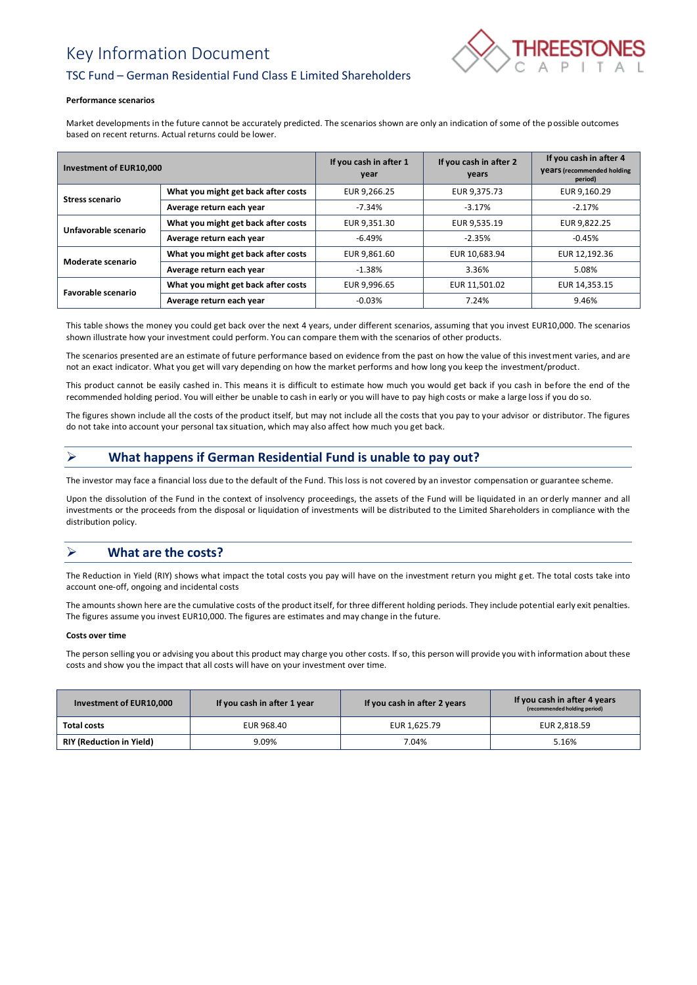# Key Information Document



# TSC Fund – German Residential Fund Class E Limited Shareholders

#### **Performance scenarios**

Market developments in the future cannot be accurately predicted. The scenarios shown are only an indication of some of the possible outcomes based on recent returns. Actual returns could be lower.

| Investment of EUR10,000 |                                     | If you cash in after 1<br>year | If you cash in after 2<br>years | If you cash in after 4<br><b>Vears</b> (recommended holding<br>period) |
|-------------------------|-------------------------------------|--------------------------------|---------------------------------|------------------------------------------------------------------------|
| <b>Stress scenario</b>  | What you might get back after costs | EUR 9,266.25                   | EUR 9,375.73                    | EUR 9,160.29                                                           |
|                         | Average return each year            | $-7.34%$                       | $-3.17%$                        | $-2.17%$                                                               |
| Unfavorable scenario    | What you might get back after costs | EUR 9,351.30                   | EUR 9,535.19                    | EUR 9,822.25                                                           |
|                         | Average return each year            | $-6.49%$                       | $-2.35%$                        | $-0.45%$                                                               |
| Moderate scenario       | What you might get back after costs | EUR 9.861.60                   | EUR 10,683.94                   | EUR 12,192.36                                                          |
|                         | Average return each year            | $-1.38\%$                      | 3.36%                           | 5.08%                                                                  |
| Favorable scenario      | What you might get back after costs | EUR 9,996.65                   | EUR 11,501.02                   | EUR 14,353.15                                                          |
|                         | Average return each year            | $-0.03%$                       | 7.24%                           | 9.46%                                                                  |

This table shows the money you could get back over the next 4 years, under different scenarios, assuming that you invest EUR10,000. The scenarios shown illustrate how your investment could perform. You can compare them with the scenarios of other products.

The scenarios presented are an estimate of future performance based on evidence from the past on how the value of this investment varies, and are not an exact indicator. What you get will vary depending on how the market performs and how long you keep the investment/product.

This product cannot be easily cashed in. This means it is difficult to estimate how much you would get back if you cash in before the end of the recommended holding period. You will either be unable to cash in early or you will have to pay high costs or make a large loss if you do so.

The figures shown include all the costs of the product itself, but may not include all the costs that you pay to your advisor or distributor. The figures do not take into account your personal tax situation, which may also affect how much you get back.

# ➢ **What happens if German Residential Fund is unable to pay out?**

The investor may face a financial loss due to the default of the Fund. This loss is not covered by an investor compensation or guarantee scheme.

Upon the dissolution of the Fund in the context of insolvency proceedings, the assets of the Fund will be liquidated in an orderly manner and all investments or the proceeds from the disposal or liquidation of investments will be distributed to the Limited Shareholders in compliance with the distribution policy.

# ➢ **What are the costs?**

The Reduction in Yield (RIY) shows what impact the total costs you pay will have on the investment return you might get. The total costs take into account one-off, ongoing and incidental costs

The amounts shown here are the cumulative costs of the product itself, for three different holding periods. They include potential early exit penalties. The figures assume you invest EUR10,000. The figures are estimates and may change in the future.

### **Costs over time**

The person selling you or advising you about this product may charge you other costs. If so, this person will provide you with information about these costs and show you the impact that all costs will have on your investment over time.

| Investment of EUR10,000         | If you cash in after 1 year | If you cash in after 2 years | If you cash in after 4 years<br>(recommended holding period) |
|---------------------------------|-----------------------------|------------------------------|--------------------------------------------------------------|
| Total costs                     | EUR 968.40                  | EUR 1,625.79                 | EUR 2.818.59                                                 |
| <b>RIY (Reduction in Yield)</b> | 9.09%                       | 7.04%                        | 5.16%                                                        |